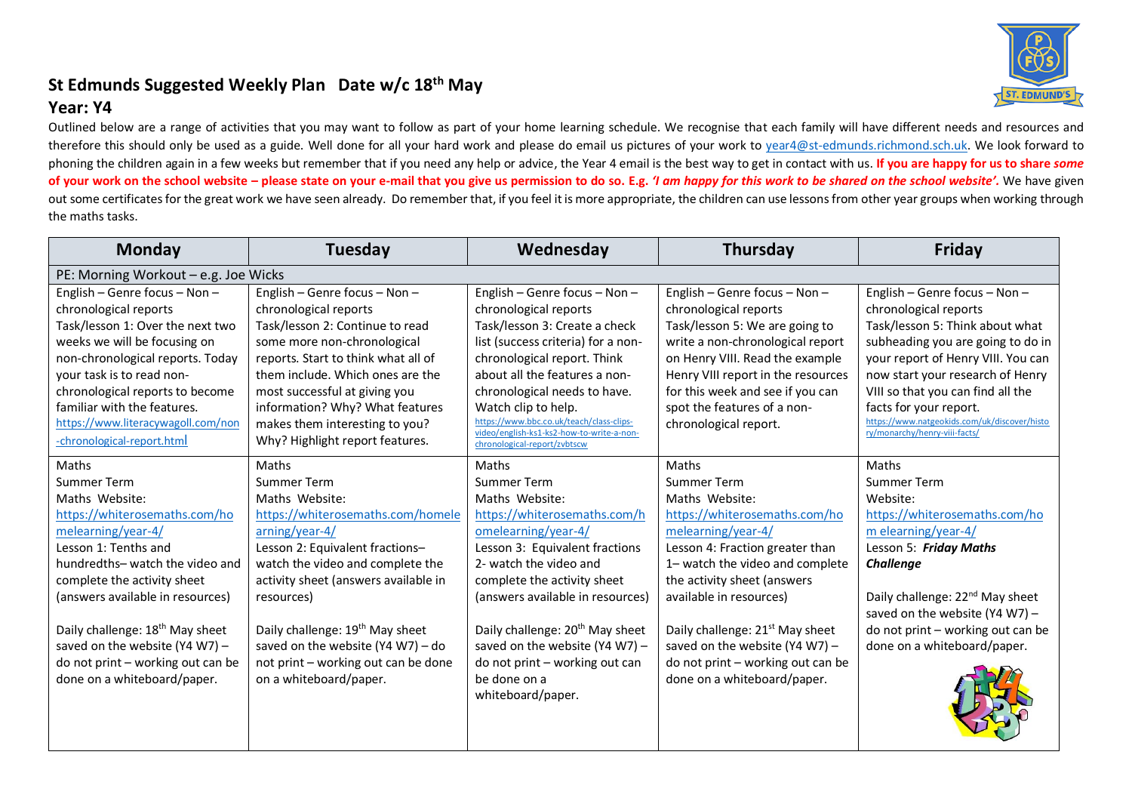# **St Edmunds Suggested Weekly Plan Date w/c 18th May**

# **Year: Y4**



| Monday                                      | Tuesday                                     | Wednesday                                                                             | Thursday                                    | Friday                                                                        |
|---------------------------------------------|---------------------------------------------|---------------------------------------------------------------------------------------|---------------------------------------------|-------------------------------------------------------------------------------|
| PE: Morning Workout - e.g. Joe Wicks        |                                             |                                                                                       |                                             |                                                                               |
| English - Genre focus - Non -               | English - Genre focus - Non -               | English – Genre focus – Non –                                                         | English – Genre focus – Non –               | English – Genre focus – Non –                                                 |
| chronological reports                       | chronological reports                       | chronological reports                                                                 | chronological reports                       | chronological reports                                                         |
| Task/lesson 1: Over the next two            | Task/lesson 2: Continue to read             | Task/lesson 3: Create a check                                                         | Task/lesson 5: We are going to              | Task/lesson 5: Think about what                                               |
| weeks we will be focusing on                | some more non-chronological                 | list (success criteria) for a non-                                                    | write a non-chronological report            | subheading you are going to do in                                             |
| non-chronological reports. Today            | reports. Start to think what all of         | chronological report. Think                                                           | on Henry VIII. Read the example             | your report of Henry VIII. You can                                            |
| your task is to read non-                   | them include. Which ones are the            | about all the features a non-                                                         | Henry VIII report in the resources          | now start your research of Henry                                              |
| chronological reports to become             | most successful at giving you               | chronological needs to have.                                                          | for this week and see if you can            | VIII so that you can find all the                                             |
| familiar with the features.                 | information? Why? What features             | Watch clip to help.                                                                   | spot the features of a non-                 | facts for your report.                                                        |
| https://www.literacywagoll.com/non          | makes them interesting to you?              | https://www.bbc.co.uk/teach/class-clips-<br>video/english-ks1-ks2-how-to-write-a-non- | chronological report.                       | https://www.natgeokids.com/uk/discover/histo<br>ry/monarchy/henry-viii-facts/ |
| -chronological-report.html                  | Why? Highlight report features.             | chronological-report/zvbtscw                                                          |                                             |                                                                               |
| Maths                                       | Maths                                       | Maths                                                                                 | <b>Maths</b>                                | <b>Maths</b>                                                                  |
| Summer Term                                 | Summer Term                                 | Summer Term                                                                           | Summer Term                                 | <b>Summer Term</b>                                                            |
| Maths Website:                              | Maths Website:                              | Maths Website:                                                                        | Maths Website:                              | Website:                                                                      |
| https://whiterosemaths.com/ho               | https://whiterosemaths.com/homele           | https://whiterosemaths.com/h                                                          | https://whiterosemaths.com/ho               | https://whiterosemaths.com/ho                                                 |
| melearning/year-4/                          | arning/year-4/                              | omelearning/year-4/                                                                   | melearning/year-4/                          | m elearning/year-4/                                                           |
| Lesson 1: Tenths and                        | Lesson 2: Equivalent fractions-             | Lesson 3: Equivalent fractions                                                        | Lesson 4: Fraction greater than             | Lesson 5: Friday Maths                                                        |
| hundredths- watch the video and             | watch the video and complete the            | 2- watch the video and                                                                | 1- watch the video and complete             | <b>Challenge</b>                                                              |
| complete the activity sheet                 | activity sheet (answers available in        | complete the activity sheet                                                           | the activity sheet (answers                 |                                                                               |
| (answers available in resources)            | resources)                                  | (answers available in resources)                                                      | available in resources)                     | Daily challenge: 22 <sup>nd</sup> May sheet                                   |
|                                             |                                             |                                                                                       |                                             | saved on the website (Y4 W7) $-$                                              |
| Daily challenge: 18 <sup>th</sup> May sheet | Daily challenge: 19 <sup>th</sup> May sheet | Daily challenge: 20 <sup>th</sup> May sheet                                           | Daily challenge: 21 <sup>st</sup> May sheet | do not print - working out can be                                             |
| saved on the website (Y4 W7) $-$            | saved on the website (Y4 W7) - do           | saved on the website (Y4 W7) $-$                                                      | saved on the website (Y4 W7) -              | done on a whiteboard/paper.                                                   |
| do not print - working out can be           | not print - working out can be done         | do not print – working out can                                                        | do not print - working out can be           |                                                                               |
| done on a whiteboard/paper.                 | on a whiteboard/paper.                      | be done on a                                                                          | done on a whiteboard/paper.                 |                                                                               |
|                                             |                                             | whiteboard/paper.                                                                     |                                             |                                                                               |
|                                             |                                             |                                                                                       |                                             |                                                                               |
|                                             |                                             |                                                                                       |                                             |                                                                               |
|                                             |                                             |                                                                                       |                                             |                                                                               |